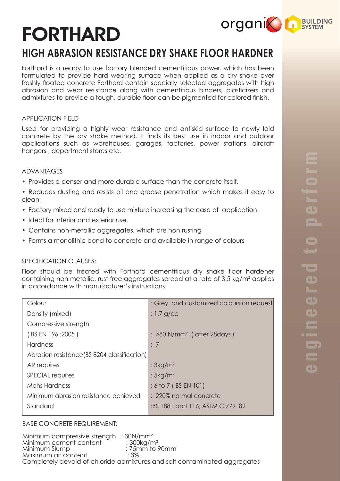# FORTHARD

# **HIGH ABRASION RESISTANCE DRY SHAKE FLOOR HARDNER**

Forthard is a ready to use factory blended cementitious power, which has been formulated to provide hard wearing surface when applied as a dry shake over freshly floated concrete Forthard contain specially selected aggregates with high abrasion and wear resistance along with cementitious binders, plasticizers and admixtures to provide a tough, durable floor can be pigmented for colored finish.

## APPLICATION FIELD

Used for providing a highly wear resistance and antiskid surface to newly laid concrete by the dry shake method. It finds its best use in indoor and outdoor applications such as warehouses, garages, factories, power stations, aircraft hangers , department stores etc.

#### ADVANTAGES

- Provides a denser and more durable surface than the concrete itself.
- Reduces dusting and resists oil and grease penetration which makes it easy to clean
- Factory mixed and ready to use mixture increasing the ease of application
- Ideal for interior and exterior use.
- Contains non-metallic aggregates, which are non rusting
- Forms a monolithic bond to concrete and available in range of colours

## SPECIFICATION CLAUSES:

Floor should be treated with Forthard cementitious dry shake floor hardener containing non metallic, rust free aggregates spread at a rate of 3.5 kg/m² applies in accordance with manufacturer's instructions.

| Colour                                       | : Grey and customized colours on request             |
|----------------------------------------------|------------------------------------------------------|
| Density (mixed)                              | $: 1.7$ g/cc                                         |
| Compressive strength                         |                                                      |
| (BS EN 196 : 2005)                           | $\therefore$ >80 N/mm <sup>2</sup> ( after 28 days ) |
| <b>Hardness</b>                              | $\div$ 7                                             |
| Abrasion resistance (BS 8204 classification) |                                                      |
| AR requires                                  | : $3kg/m2$                                           |
| <b>SPECIAL requires</b>                      | : $5 \text{kg/m}^2$                                  |
| Mohs Hardness                                | $: 6 \text{ to } 7 \text{ (BS EN 101)}$              |
| Minimum abrasion resistance achieved         | : 220% normal concrete                               |
| Standard                                     | :BS 1881 part 116, ASTM C 779 89                     |
|                                              |                                                      |

## BASE CONCRETE REQUIREMENT:

Minimum compressive strength : 30N/mm<sup>2</sup><br>Minimum cement content : 300kg/m<sup>2</sup> Minimum cement content<br>Minimum Slump : 75mm to 90mm<br> : 3% Maximum air content Completely devoid of chloride admixtures and salt contaminated aggregates